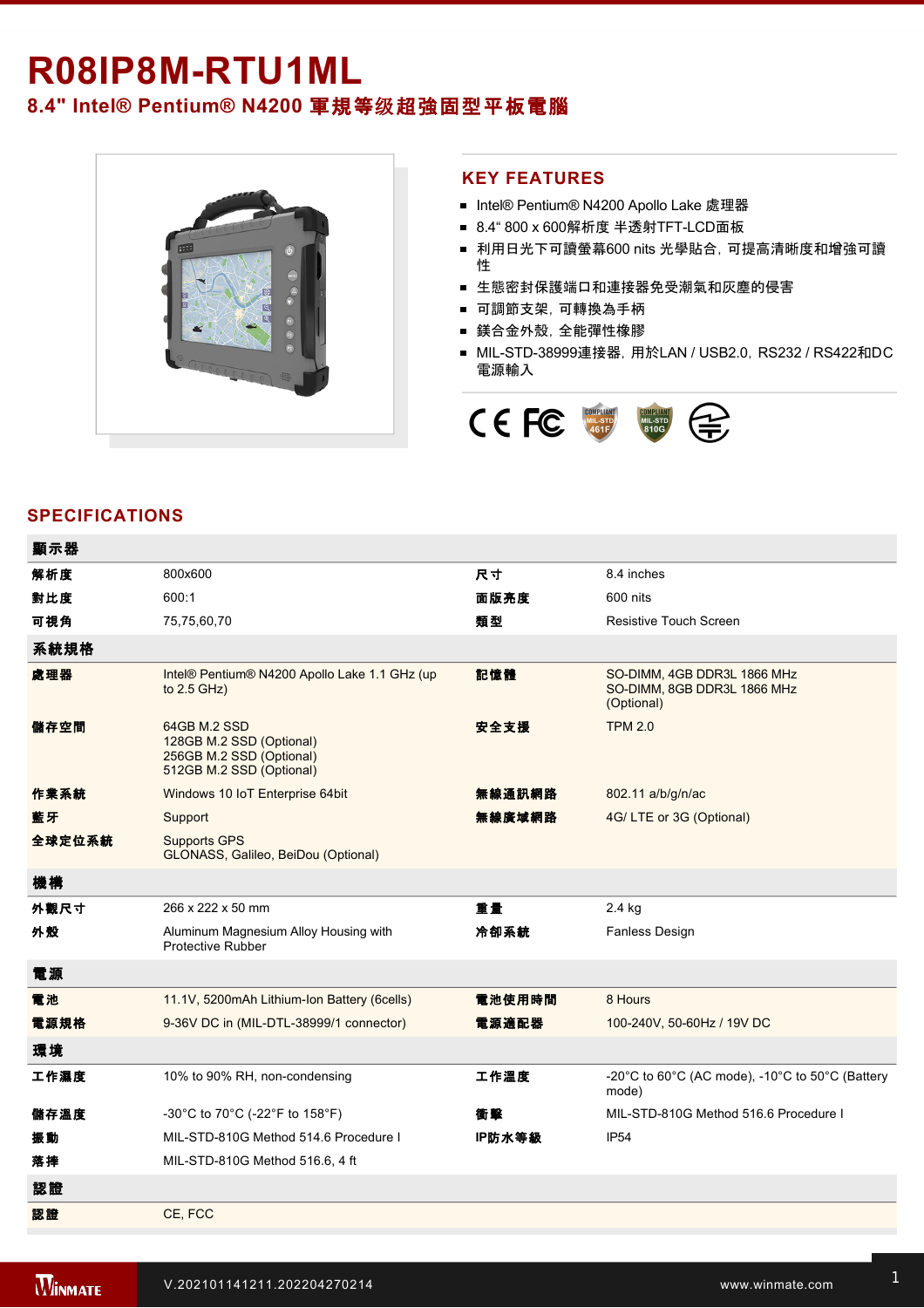## R08IP8M-RTU1ML **8.4" Intel® Pentium® N4200** 軍規等级超強固型平板電腦



## **KEY FEATURES**

- Intel® Pentium® N4200 Apollo Lake 處理器
- 8.4" 800 x 600解析度 半透射TFT-LCD面板
- 利用日光下可讀螢幕600 nits 光學貼合, 可提高清晰度和增強可讀 性
- 生態密封保護端口和連接器免受潮氣和灰塵的侵害
- 可調節支架,可轉換為手柄
- 鎂合金外殼,全能彈性橡膠
- MIL-STD-38999連接器, 用於LAN / USB2.0, RS232 / RS422和DC 電源輸入



## **SPECIFICATIONS**

| 顯示器    |                                                                                                  |        |                                                                                                      |
|--------|--------------------------------------------------------------------------------------------------|--------|------------------------------------------------------------------------------------------------------|
| 解析度    | 800x600                                                                                          | 尺寸     | 8.4 inches                                                                                           |
| 對比度    | 600:1                                                                                            | 面版亮度   | 600 nits                                                                                             |
| 可視角    | 75,75,60,70                                                                                      | 類型     | <b>Resistive Touch Screen</b>                                                                        |
| 系統規格   |                                                                                                  |        |                                                                                                      |
| 處理器    | Intel® Pentium® N4200 Apollo Lake 1.1 GHz (up<br>to $2.5$ GHz)                                   | 記憶體    | SO-DIMM, 4GB DDR3L 1866 MHz<br>SO-DIMM, 8GB DDR3L 1866 MHz<br>(Optional)                             |
| 儲存空間   | 64GB M.2 SSD<br>128GB M.2 SSD (Optional)<br>256GB M.2 SSD (Optional)<br>512GB M.2 SSD (Optional) | 安全支援   | <b>TPM 2.0</b>                                                                                       |
| 作業系統   | Windows 10 IoT Enterprise 64bit                                                                  | 無線通訊網路 | 802.11 a/b/g/n/ac                                                                                    |
| 藍牙     | Support                                                                                          | 無線廣域網路 | 4G/LTE or 3G (Optional)                                                                              |
| 全球定位系統 | <b>Supports GPS</b><br>GLONASS, Galileo, BeiDou (Optional)                                       |        |                                                                                                      |
| 機構     |                                                                                                  |        |                                                                                                      |
| 外觀尺寸   | 266 x 222 x 50 mm                                                                                | 重量     | 2.4 kg                                                                                               |
| 外殼     | Aluminum Magnesium Alloy Housing with<br>Protective Rubber                                       | 冷卻系統   | Fanless Design                                                                                       |
| 電源     |                                                                                                  |        |                                                                                                      |
| 電池     | 11.1V, 5200mAh Lithium-Ion Battery (6cells)                                                      | 電池使用時間 | 8 Hours                                                                                              |
| 電源規格   | 9-36V DC in (MIL-DTL-38999/1 connector)                                                          | 電源適配器  | 100-240V, 50-60Hz / 19V DC                                                                           |
| 環境     |                                                                                                  |        |                                                                                                      |
| 工作濕度   | 10% to 90% RH, non-condensing                                                                    | 工作溫度   | -20 $^{\circ}$ C to 60 $^{\circ}$ C (AC mode), -10 $^{\circ}$ C to 50 $^{\circ}$ C (Battery<br>mode) |
| 儲存溫度   | -30°C to 70°C (-22°F to 158°F)                                                                   | 衝撃     | MIL-STD-810G Method 516.6 Procedure I                                                                |
| 振動     | MIL-STD-810G Method 514.6 Procedure I                                                            | IP防水等級 | <b>IP54</b>                                                                                          |
| 落摔     | MIL-STD-810G Method 516.6, 4 ft                                                                  |        |                                                                                                      |
| 認證     |                                                                                                  |        |                                                                                                      |
| 認證     | CE, FCC                                                                                          |        |                                                                                                      |

配件

**拉 1 x Power, 1 x Power, 1 x Function Key, Function Key, Function Key, Function Key, Function Key, Function Key,**